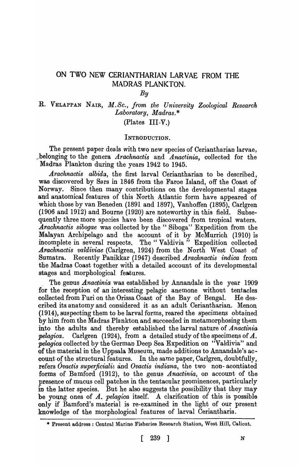# ON TWO NEW CERIANTHARIAN LARVAE FROM THE MADRAS PLANKTON.

#### *By*

## R. VELAPPAN NAIR, M.Sc., from the University Zoological Research *Laboratory* , *Madras.* \*

## (Plates III-V.)

## INTRODUCTION.

The present paper deals with two new species of Ceriantharian larvae, \_\_\_ belonging to the genera *Arachnactis* and *Anactinia,* collected for the Madras Plankton during the years 1942 to 1945.

*Arachnactis albida,* the first larval Ceriantharian to be described, was discovered by Sars in 1846 from the Faroe Island, off the Coast of Norway. Since then many contributions on the developmental stages and anatomical features of this North\_ Atlantic form have appeared of which those by van Beneden (1891 and 1897), Vanhoffen (1895), Carlgren  $(1906 \text{ and } 1912)$  and Bourne  $(1920)$  are noteworthy in this field. Subsequently three more species have been discovered from tropical waters. *Arachnactis sibogae* was collected by the " Siboga" Expedition from the Malayan Archipelago and the account of it by McMurrich (1910) is incomplete in several respects. The "Valdivia" Expedition collected *.A.rachnactis valdiviae* (Carlgren, 1924) from the North West Coast of Sumatra. Recently Panikkar (1947) described *Arachnactis indica* from the Madras Coast together with a detailed account of its developmental stages and morphological features.

The genus *Anactinia* was established by Annandale in the year 1909 for the reception of an interesting pelagic anemone without tentacles collected from Furi on the Orissa Coast of the Bay of Bengal. He described its anatomy and considered it as an adult Ceriantharian. Menon  $(1914)$ , suspecting them to be larval forms, reared the specimens obtained by him from the Madras Plankton and succeeded in metamorphosing them. into the adults and thereby established the larval nature of *Anactinia pelagica.* Carlgren (1924), from a detailed study of the specimens of *A. pelagica* collected by the German Deep Sea Expedition on "Valdivia" and of the material in the Uppsala Museum, made additions to Annandale's account of the structural features. In the same paper, Carlgren, doubtfully, refers *Ovactis superficialis* and *Ovactis indiana,* the two non- acontiated forms of Bamford (1912), to the genus *A nactinia* , on account of the presence of mucus cell patches in the tentacular prominences, particularly in the latter species. But he also suggests the possibility that they may be young ones of  $A$ . *pelagica* itself. A clarification of this is possible only if Bamford's material is re-examined in the light of our present knowledge of the morphological features of larval Ceriantharia.

<sup>\*</sup> Present address: Central Marine Fisheries Research Station, West Hill, Calicut.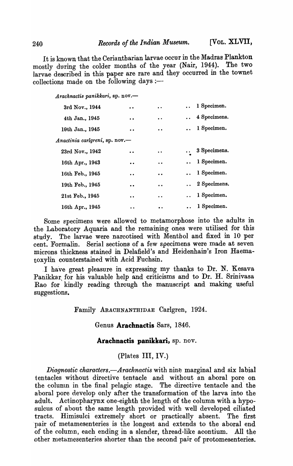It is known that the Ceriantharian larvae occur in the Madras Plankton<br>stly during the colder months of the year (Nair, 1944). The two mostly during the colder months of the year (Nair, 1944). larvae described in this paper are rare and they occurred in the townet collections made on the following days :-

| Arachnactis panikkari, sp. nov.— |                      |                      |                     |                       |
|----------------------------------|----------------------|----------------------|---------------------|-----------------------|
| 3rd Nov., 1944                   | $\bullet$            | $\ddot{\phantom{0}}$ |                     | 1 Specimen.           |
| 4th Jan., 1945                   | $\bullet$            | $\bullet$            |                     | 4 Specimens.          |
| 19th Jan., 1945                  | $\ddot{\phantom{0}}$ | $\bullet$            | $\bullet$ $\bullet$ | 1 Specimen.           |
| Anactinia carlgreni, sp. nov.-   |                      |                      |                     |                       |
| 23rd Nov., 1942                  | $\bullet$            | $\bullet$            | $\bullet$ $\bullet$ | 3 Specimens.          |
| 16th Apr., 1943                  | $\bullet$            | $\bullet$            |                     | 1 Specimen.           |
| 16th Feb., 1945                  | $\bullet$            | $\bullet\bullet$     |                     | 1 Specimen.           |
| 19th Feb., 1945                  | $\bullet$            | $\bullet\bullet$     |                     | $\ldots$ 2 Specimens. |
| 21st Feb., 1945                  | $\ddot{\phantom{0}}$ | $\bullet$            |                     | 1 Specimen.           |
| 16th Apr., 1945                  | $\cdot$ $\cdot$      | $\bullet\bullet$     |                     | $\ldots$ 1 Specimen.  |
|                                  |                      |                      |                     |                       |

Some specimens were allowed to metamorphose into the adults in the Laboratory Aquaria and the remaining ones were utilised for this study. Tbe larvae were narcotised with Menthol and fixed in 10 per cent. Formalin. Serial sections of a few specimens were made at seven microns thickness stained in Delafield's and Heidenhain's Iron Haematoxylin counterstained with Acid Fuchsin.

. 1 have great pleasure in expressing my thanks to Dr. N. Kesava Panikkar for his valuable help and criticisms and to Dr. H. Srinivasa Rao for kindly reading through the manuscript and making useful suggestions.

Family ARACHNANTHIDAE Carlgren, 1924.

Genus **Arachnactis** Sars, 1846.

### Arachnactis panikkari, sp. nov.

(Plates III, IV.)

*Diagnostic characters.*-Arachnactis with nine marginal and six labial tentacles without directive tentacle and without an aboral pore on the colunm in the final pelagic stage. The directive tentacle and the aboral pore develop only after the transformation of the larva into the adult. Actinopharynx one-eighth the length of the column with a hyposulcus of about the same length provided with well developed ciliated tracts. Himisulci extremely short or practically absent. The first pair of metamesenteries is the longest and extends to the aboral end of the column, each ending in a slender, thread-like acontium. All the other metamesenteries shorter than the second pair of protomesenteries.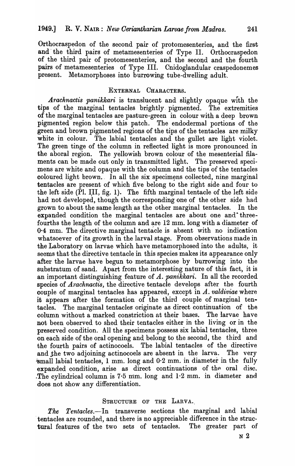Orthocraspedon of the second pair of protomesenteries, and the first and' the third pairs of metamesenteries of Type II. Orthocraspedon of the third pair of protomesenteries, and the second and the fourth pairs of metamesenteries of Type III. Cnidoglandular craspedonemes present. Metamorphoses into burrowing tube-dwelling adult.

### EXTERNAL CHARACTERS.

Arachnactis panikkari is translucent and slightly opaque with the tips of the marginal tentacles brightly. pigmented. The extremities of the marginal tentacles are pasture-green in colour with a deep brown pigmented region below this patch. The endodermal portions of the green and brown pigmented regions of the tips of the tentacles are milky white in colour. The labial tentacles and the gullet are light violet. The green tinge of the column in reflected light is more pronounced in the aboral region. The yellowish brown colour of the mesenterial filaments can be made out only in transmitted light. The preserved specimens are white and opaque with the column and the tips of the tentacles coloured light brown. In all the six specimens collected, nine marginal tentacles are present of which five belong to the right side and four to the left side  $(\overline{P}l, III, fig. 1)$ . The fifth marginal tentacle of the left side had not developed, though the corresponding one of the other side had grown to about the same length as the other marginal tentacles. In the expanded condition the marginal tentacles are about one and threefourths the length of the column and are  $12 \text{ mm}$ . long with a diameter of 0.4 mm. The directive marginal tentacle is absent with no indication whatsoever of its growth in the larval stage. From observations made in the Laboratory on larvae which have metamorphosed into the adults, it seems that the directive tentacle in this species makes its appearance only after the larvae have begun to metamorphose by burrowing into the substratum of sand. Apart from the interesting nature of this fact, it is an important distinguishing feature of *A. panikkari.* In all the recorded species of *Arachnactis*, the directive tentacle develops after the fourth couple of marginal tentacles has appeared, except in *A. valdiviae* where it appears after the formation of the third couple of marginal tentacles. The marginal tentacles originate as direct continuation of the column without a marked constriction at their bases. The larvae have not been observed to shed their tentacles either in the living or in the preserved condition. All the specimens possess six labial tentacles, three on each side of the oral opening and belong to the second, the third and the fourth pairs of actinocoels. The labial tentacles of the directive and the two adjoining actinocoels are absent in the larva. The very  $\delta$ small labial tentacles, 1 mm. long and 0.2 mm. in diameter in the fully expanded condition, arise as direct continuations of the oral disc. . The cylindrical column is  $7.5$  mm. long and  $1.2$  mm. in diameter and. does not show any differentiation.

#### STRUCTURE OF THE LARVA.

*The Tentacles.-In* transverse sections the marginal and labial . tentacles are rounded, and there is no appreciable difference in the structural features of the two sets of tentacles. The greater part of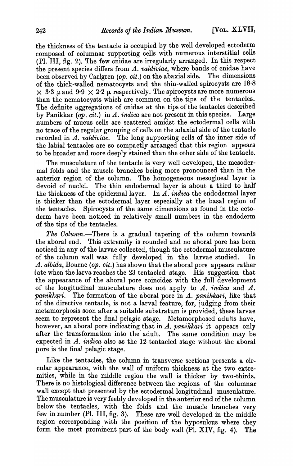the thickness of the tentacle is occupied by the well developed ectoderm composed of columnar supporting cells \yith numerous interstitial cells (PI. III, fig. 2). The few cnidae are irregularly arranged. In this respect the present species differs from *A. valdiviae,* where bands of cnidae have been observed by Carlgren *(op. cit.)* on the abaxial side. The dimensions of the thick-walled nematocysts and the thin-walled spirocysts are 18.8  $\times$  3.3  $\mu$  and 9.9  $\times$  2.2  $\mu$  respectively. The spirocysts are more numerous than the nematocysts which are common on the tips of the tentacles. The definite aggregations of cnidae at the tips of the tentacles described<br>by Panikkar  $(\omega n, cit.)$  in A, indica are not present in this species. Large by Panikkar *(op. cit.)* in A. *indica* are not present in this species. numbers of mucus cells are scattered amidst the ectodermal cells with no trace of the regular grouping of cells on the adaxial side of the tentacle reeorded in A. *valdiviae.* The long supporting cells of the inner side of the labial tentacles are so compactly arranged that this region appears to be broader and more deeply stained than the other side of the tentacle.

The musculature of the tentacle is very well developed, the mesodermal folds and the muscle branches being more pronounced than in the anterior region of the column. The homogeneous mesogloeal layer is devoid of nuclei. The thin endodermal layer is ahout a third to half the thickness of the epidermal layer. In *A. indica* the endodermal layer is thicker than the ectodermal layer especially at the basal region of the tentacles. Spirocysts of the same dimensions as found in the ectoderm have been noticed in relatively small numbers in the endoderm of the tips of the tentacles. .

*The Column.-There* is a gradual tapering of the column towards the aboral end. This extremity is rounded and no aboral pore has been noticed in any of the larvae collected, though the ectodermal musculature of the column wall was fully developed in the larvae studied. In A. *albida,* Bourne *(op. cit.)* has shown that the aboral pore appears rather late when the larva reaches the 23 tentacled stage. His suggestion that the appearance of the aboral pore coincides with the full development of the longitudinal musculature does not apply to *A. indica* and *A. panikkari.* The formation of the aboral pore in *A. panikkari*, like that of the directive tentacle, is not a larval feature, for, judging from their metamorphosis soon after a suitable substratum is provided, these larvae seem to represent the final pelagic stage. Metamorphosed adults have, however, an aboral pore indicating that in A. *panikkari* it appears only after the transformation into the adult. The same condition may be expected in A. *indica* also as the 12-tentacled stage without the aboral pore is the final pelagic stage.

Like the tentacles, the column in transverse sections presents a circular appearance, with the wall of uniform thickness at the two extremities, while in the middle region the wall is thicker by two-thirds. There is no histological difference between the regions of the columnar wall except that presented by the ectodermal longitudinal musculature. The musculature is very feebly developed in the anterior end of the column below the tentacles, with the folds and the muscle branches very few in number (Pl. III, fig. 3). These are well developed in the middle region corresponding with the position of the hyposulcus where they form the most prominent part of the body wall (PI. XIV, fig. 4). The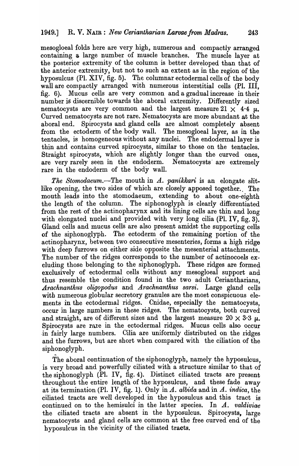mesogloeal folds here are very high, numerous and compactly arranged containing a large number of muscle branches. The muscle layer at the posterior extremity of the column is better developed than that of the anterior extremity, but not to such an extent as in the region of the hyposulcus (Pl. XIV, fig. 5). The columnar ectodermal cells of the body wall are compactly arranged with numerous interstitial cells (PI. III, fig. 6). Mucus cells are very common and a gradual increase in their number is discernible towards the aboral extremity. Differently sized nematocysts are very common and the largest measure  $21 \times 4.4 \mu$ . Curved nematocysts are not rare. Nematocysts are more abundant at the aboral end. Spirocysts and gland cells are almost completely absent from the ectoderm of the body wall. The mesogloeal layer, as in the tentacles, is homogeneous without any nuclei. The endodermal layer is thin and contains curved spirocysts, similar to those on the tentacles. Straight spirocysts, which are slightly longer than the curved ones, are very rarely seen in the endoderm. Nematocysts are extremely rare in the endoderm of the body wall.

*The Stomodaeum.*—The mouth in A. *panikkari* is an elongate slitlike opening, the two sides of which are closely apposed together. The mouth leads into the stomodaeum, extending to about one-eighth the length of the column. The siphonoglyph is clearly differentiated from the rest of the actinopharynx and its lining cells are thin and long with elongated nuclei and provided with very long cilia (Pl. IV, fig. 3). Gland cells and mucus cells are also present amidst the supporting cells of the siphonoglyph. The ectoderm of the remaining portion of the actinopharynx, between two consecutive mesenteries, forms a high ridge with deep furrows on either side opposite the mesenterial attachments. The number of the ridges corresponds to the number of actinocoels excluding those belonging to the siphonoglyph. These ridges are formed exclusively of ectodermal cells without any mesogloeal support and thus resemble the condition found in the two adult Ceriantharians, *Arachnanthu,s oligopodu8* and *Arachnanthus sarsi.* Large gland cells with numerous globular secretory granules are the most conspicuous elements in the ectodermal ridges. Cnidae, especially the nematocysts, occur in large numbers in these ridges. The nematocysts, both curved and straight, are of different sizes and the largest measure  $20 \times 3.3 \mu$ . Spirocysts are rate in the ectodermal ridges. Mucus cells also occur ·in fairly large numbers. Cilia are uniformly distributed on the ridges and the furrows, but are short when compared with the ciliation of the siphonoglyph.

The aboral continuation of the siphonoglyph, namely the hyposulcus, is very broad and powerfully ciliated with a structure similar to that of the siphonoglyph (PI. IV, fig. 4). Distinct ciliated tracts are present throughout the entire length of the hyposulcus, and these fade away at its termination (PI. IV, fig. 1). Only in *A. albida* and in *A. indica,* the ciliated tracts are well developed in the hyposulcus and this tract is continued on to the hemisulci in the latter species. In A. *valdiviae*  the ciliated tracts are absent in the hyposulcus. Spirocysts, large nematocysts and gland cells are common at the free curved end of the hyposuleus in the vicinity of the ciliated tracts.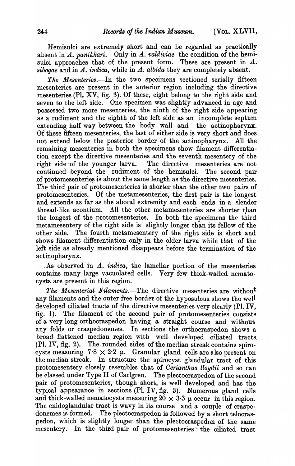Hemisulci are extremely short and can be regarded as practically absent in A. *panikkari.* Only in A. *valdiviae* the condition of the hemisulci approaches that of the present form. These are present in A. *sibogae* and in *A. indica,* while in *A. albida* they are completely absent.

The Mesenteries.-In the two specimens sectioned serially fifteen mesenteries. are present in the anterior region including the directive mesenteries (Pl.  $\bar{X}V$ , fig. 3). Of these, eight belong to the right side and seven to the left side. One specimen was slightly advanced in age and possessed two more mesenteries, the ninth of the right side appearing as a rudiment and the eighth of the left side as an incomplete septum extending half way between the body wall and the actinopharynx. Of these fifteen mesenteries, the last of either side is very short and does not extend below the posterior border of the actinopharynx. All the remaining mesenteries in both the specimens show filament differentiation except the directive mesenteries and the seventh mesentery of the right side' of the younger larva. The directive mesenteries are not continued beyond the rudiment of the hemisulci. The second pair of protomes enteries is about the same length as the directive mesenteries. The third pair of protomesenteries is shorter than the other two pairs of protomesenterics. Of the metamesenteries, the first pair is the longest and extends as far as the aboral extremity and each ends in a slender thread like acontium. All the other metamesenteries are shorter than the longest of the protomesenteries. In both the specimens the third metamesentery of the right side is slightly longer than its fellow of the other side. The fourth metamesentery of the right side is short and shows filament differentiation only in the older larva while that of the left side as already mentioned disappears before the termination of the actinopharynx.

. As observed in  $A$ , *indica*, the lamellar portion of the mesenteries contains many large vacuolated cells. Very few thick-walled nematecysts are present in this region.

*The Mesenterial Filaments.*-The directive mesenteries are without any filaments and the outer free border of the hyposulcus shows the well developed ciliated tracts of the directive mesenteries very clearly (Pl. IV, fig. 1). The filament of the second pair of protomesenteries consists of a very long orthocraspedon having a straight course and without any folds or craspedonemes. In sections the orthocraspedon shows a broad flattened median region witb well developed ciliated tracts. (Pl. IV, fig. 2). The. rounded sides of the median streak contains spirocysts measuring  $7.8 \times 2.2 \mu$ . Granular gland cells are also present on the median streak. In structure the spirocyst glandular tract of this protomesentery closely resembles that of *Cerianthus lloydii* and so can be elassed under Type II of Carlgren. The plectocraspedon of the second pair of protomesenteries, though short, is well developed and has the typical appearance in sections (PI. IV, fig. 3). Numerous gland cells and thick-walled nematocysts measuring  $20 \times 3.3$   $\mu$  occur in this region. The cnidoglandular tract is wavy in its course and a couple of craspedonemes is formed. The plectocraspedon is followed by a short telocraspedon, which is slightly longer than the plectocraspedon of the same mesentery. In the third pair of protomesenteries the ciliated tract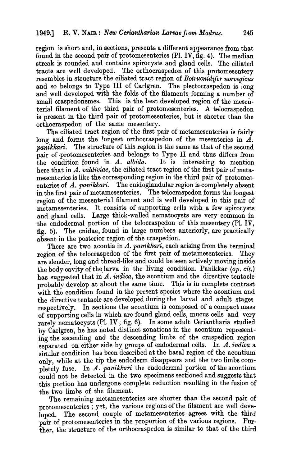region is short and, in sections, presents a different appearance from that found in the second pair of protomesenteries (PI. IV, fig. 4). The median streak is rounded and contains spirocysts and gland cells. The ciliated tracts are well developed. The orthocraspedon of this protomesentery resembles in structure the ciliated tract region of *Botrucnidifer norvegicus*  and so belongs to Type III of Carlgren. The plectocraspedon is long and well developed with the folds of the filaments forming a number of small craspedonemes. This is the best developed region of the mesenterial filament of the third pair of protonesenteries. A telocraspedon is present in the third pair of protomesenteries, but is shorter than the orthocraspedon of the same mesentery.

The ciliated tract region of the first pair of metamesenteries is fairly long and forms the longest orthocraspedon of the mesenteries in  $\vec{A}$ . *panikkari.* The structure of this region is the same as that of the second pair of protomesenteries and belongs to Type II and thus differs from the condition found in A. *albida.* It is interesting to mention here that in A. *valdiviae*, the ciliated tract region of the first pair of metamesenteries is like the corresponding region in the third pair of protomesenteries of A. panikkari. The cnidoglandular region is completely absent in the first pair of metamesenteries. The telocraspedon forms the longest region of the mesenterial filament and is well developed in this pair of metamesenteries. It consists of supporting cells with a few spirocysts and gland cells. Large thick-walled nematocysts are very common in the endodermal portion of the telocraspedon of this mesentery (PI. IV, fig. 5). The cnidae, found in large numbers anteriorly, are practically absent in the posterior region of the craspedion.

There are two acontia in A. *panikkari*, each arising from the terminal region of the telocraspedon of the first pair of metamesenteries. They are slender, long and thread-like and could be seen actively moving inside the body cavity of the larva in the living condition. Panikkar *(op. cit.)* has suggested that in A. *indica*, the acontium and the directive tentacle probably develop at about the same time. This is in complete contrast with the condition found in the present species where the acontium and the directive tentacle are developed during the larval and adult stages respectively. In sections the acontium is composed. of a compact mass of supporting cells in which arc found gland cells, mucus cells and very rarely nematocysts (Pl. IV; fig. 6). In some adult Ceriantharia studied by Carlgren, he has noted distinct zonations in the acontium representing the ascending and. the descending limbs of the craspedion region separated on either side by groups of endodermal cells. In *A. indica* a similar condition has been described at the basal region of the acontium only, while at the tip the endoderm disappears and the two limbs completely fuse. In A. *panikkari* the endodermal portion of the acontium could not be detected in the two specimens sectioned and suggests that this portion has undergone complete reduction resulting in the fusion of the two limbs of the filament.

The remaining metamesenteries are shorter than the second pair of protomesenteries ; yet, the various regions of the filament are well developed. The second couple of metamesenteries agrees with the third pair of protomesenteries in the proportion of the various regions. Further, the structure of the orthocraspedon is similar to that of the third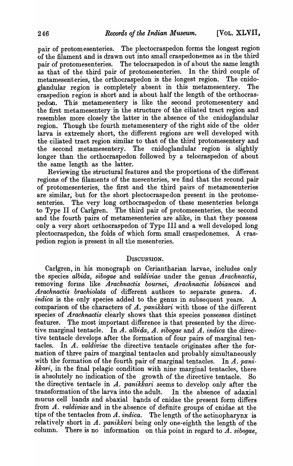pair of protomesenteries. The plectocraspedon forms the longest region of the filament and is drawn out into small craspedonemes as in the third pair of protomesenteries. The telocraspedon is of about the same length as that of the third pair of protomesenteries. In the third couple of metamesent eries, the orthocraspedon is the longest region. The cnidoglandular region is completely absent in this metamesentery. The craspedion region is short and is about half the length of the orthocraspedon. This metamesentery is like the second protomesentery and the first metamesentery in the structure of the ciliated tract region and resembles more closely the latter in the absence of the cnidoglandular region. Though the fourth metamesentery of the right side of the older larva is extremely short, the different regions are well developed with the ciliated tract region similar to that- of the third protomesentery and the second metamesentery. The cnidoglandular region is slightly longer than the orthocraspedon followed by a telocraspedon of about the same length as the latter.

Reviewing the structural features and the proportions of the different regions of the filaments of the mesenteries, we find that the second pair of protomesenteries, the first and the third pairs of metamesenteries are similar, but for the short plectocraspedon present in the protomesenteries. The very long orthocraspedon of these mesenteries belongs to Type II of Carlgren. The third pair of protomesenteries, the second and the fourth pairs of metamesenteries are alike, in that they possess only a very short orthocraspedon of Type III and a well developed long plectocraspedon, the folds of which form small craspedonemes. A craspedion region is present in all the mesenteries.

## DISCUSSION.

Carlgren, in his monograph on Ceriantharian larvae, includes only the species *albida, sibogae* and *valdiviae* under the genus *Arachnactis,*  removing forms like *Arachnactis bournei*, Arachnactis lobiancoi and Arachnactis brachiolata of different authors to separate genera. A. *indica* is the only species added to the genus in subsequent years. A comparison of the chara~ters of *A. panikkari* with those of the different species of *Arachnactis* clearly shows that this species possesses distinct features. The most important difference is that presented by the directive marginal tentacle. In A. albida, A. sibogae and A. indica the directive tentacle develops after the formation of four pairs of marginal tentacles. In *A. valdiviae* the directive tentacle originates after the formation of three pairs of marginal tentacles and probably simultaneously with the formation of the fourth pair of marginal tentacles. In A. pani*kkari*, in the final pelagic condition with nine marginal tentacles, there is absolutely no indication of the growth of the directive tentacle. So the directive tentacle in  $A$ . panikkari seems to develop only after the transformation of the larva into the adult. In the absence of adaxial mucus cell bands and abaxial bands of cnidae the present form differs from *A. valdiviae* and in the absence of definite groups of cnidae at the tips of the tentacles from  $A.$  *indica.* The length of the actinopharynx is relatively short in *A. panikkari* being only one-eighth the length of the column. There is no information on this point in regard to  $\overline{A}$ *. sibogae*,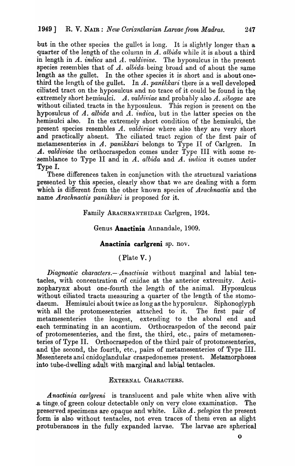but in the other species the gullet is long. It is slightly longer than a quarter of the length of the column in A. albida while it is about a third in length in A. *indica* and A. *valdiviae*. The hyposulcus in the present species resembles that of  $A.$  albida- being broad and of about the same length as the gullet. In the other species it is short and is about onethird the length of the gullet. In A. panikkari there is a well developed ciliated tract on the hyposulcus and no trace of it could be found in the extremely short hemisulci.  $A.$  valdiviae and probably also  $A.$  sibogae are without ciliated tracts in the hyposulcus. This region is present on the hyposulcus of A. *albida* and A. *indica*, but in the latter species on the hemisulci also. In the extremely short condition of the hemisulci, the present species resembles A. *valdiviae* where also they are very short and practically absent. The ciliated tract region of the first pair of metamesenteries in A. *panikkari* belongs to Type II of Carlgren. In A. *valdiviae* the orthocraspedon comes under Type III with some re-. semblance to Type II and in A. *albida* and A. *indica* it cumes under 'Type I.

These differences taken in conjunction with the structural variations presented by this species, clearly show that we are dealing with a form which is different from the other known species of *Arachnactis* and the name *Arachnactis panikkari* is proposed for it.

Family ARACHNANTHlPAE CarIgren, 1924.

#### Genus **Anactinia** Annandale, 1909.

#### **Anactinia carlgreni** sp. nov.

## (Plate V. )

Diagnostic characters.-- Anactinia without marginal and labial tentacles, with concentration of cnidae at the anterior extremity. Actinopharynx about one-fourth the length of the animal. Hyposulcus without ciliated tracts measuring a quarter of the length of the stomodaeum. Hemisulci about twice as long as the hyposulcus. Siphonoglyph with all the protomesenteries attached to it. The first pair of metamesenteries the longest, extending to the aboral end and each terminating in an acontium. Orthocraspedon of the second pair ·of protomesenteries, and the first, the third, etc., pairs of metamesenteries of Type II. Orthocraspedon of the third pair of protomesenteries, and the second, the fourth, etc., pairs of metamesenteries of Type III. Mesenterets and cnidoglandular craspedonemes present. Metamorphoses into tube-dwelling adult with marginal and labial tentacles.

### EXTERNAL CHARACTERS.

*A nactinia carlgreni* is translucent and pale white when alive with .a tinge, of green colour detectable only on very close examination. The preserved specimens are opaque and white. Like A. *pelagica* the present form is also without tentacles, not even traces of them even as slight protuberances in the fully expanded larvae. The larvae are spherical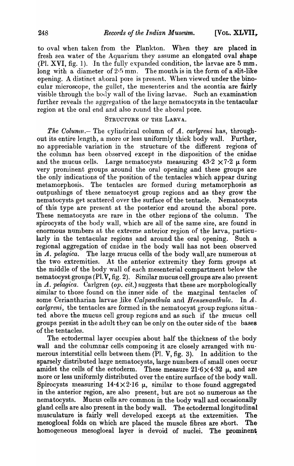to oval when taken from the Plankton. When they are placed in fresh sea water of the Aquarium they assume an elongated oval shape  $(Pl. XVI, fig. 1)$ . In the fully expanded condition, the larvae are 5 mm. long with a diameter of  $2.5$  mm. The mouth is in the form of a slit-like opening. A distinct aboral pore is present. When viewed under the binocular microscope, the gullet, the mesenteries and the acontia are fairly visible through the body wall of the living larvae. Such an examination further reveals the aggregation of the large nematocysts in the tentacular region at the oral end and also round the aboral pore.

#### STRUCTURE OF THE LARVA.

*The Column.*- The cylindrical column of *A. carlgreni* has, throughout its entire length, a more or less uniformly thick body wall. Further, no appreciable variation in the structure of the different regions of the column has been observed except in the disposition of the cnidae and the mucus cells. Large nematocysts measuring  $43.2 \times 7.2 \mu$  form very prominent groups around the oral opening and these groups are the only indications of the position of the tentacles which appear during metamorphosis. The tentacles are formed during metamorphosis as outpushings of these nernatocyst group regions and as they grow the nematocysts get scattered over the surface of the tentacle. Nematocysts of this type are present at the posterior end around the aboral pore. These nematocysts are rare in the other regions of the column. The spirocysts of the body wall, which are all of the same size, are found in enormous numbers at the extreme anterior region of the larva, particularly in the tentacular regions and around the oral opening. Such a regional aggregation of cnidae in the body wall has not been observed in A. *pelagica*. The large mucus cells of the body wall are numerous at the two extremities. At the anterior extremity they form groups at the middle of the body wall of each mesenterial compartment below the nematocyst groups (Pl.V, fig. 2). Similar mucus cell groups are also present in A. *pelagica.* Carlgren *(op. cit.)* suggests that these are morphologically similar to those found on the inner side of the marginal tentacles of some Ceriantharian larvae like *Calpanthula* and *Hensenanthula*. In *A*. *carlareni*, the tentacles are formed in the nematocyst group regions situated above the mucus cell group regions and as such if the mucus cell groups persist in the adult they can be only on the outer side of the bases of the tentacles.

The ectodermal layer occupies about half the thickness of the body wall and the columnar cells composing it are closely arranged with numerous interstitial cells between them  $(Pl. V, fig. 3)$ . In addition to thesparsely distributed large nematocysts, large numbers of small ones occuramidst the cells of the ectoderm. These measure  $21.6 \times 4.32$   $\mu$ , and are more or less uniformly distributed over the entire surface of the body wall. Spirocysts measuring  $14.4 \times 2.16 \mu$ , similar to those found aggregated in the anterior region, are also present, but are not so numerous as the nematocysts. Mucus cells are common in the body wall and occasionally gland cells are also present in the body wall. The ectodermal longitudinal musculature is fairly well developed except at the extremities. The mesogloeal folds on which are placed the muscle fibres are short. Thehomogeneous mesogloeal layer is devoid of nuclei. The prominent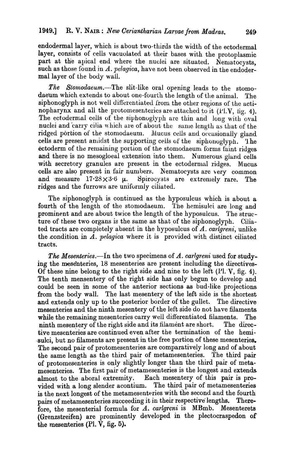endodermal layer, which is about two-thirds the width of the ectodermal layer, consists of cells vacuolated at their bases with the protoplasmic part at the apical end where the nuclei are situated. Nematocysts, such as those found in A. *pelagica*, have not been observed in the endodermal layer of the body wall.

*The Stomodaeum.*--The slit-like oral opening leads to the stomodaeum which extends to about one-fourth the length of the animal. The siphonoglyph is not well differentiated from the other regions of the actinopharynx and all the protomesenteries are attached to it (Pl.V, fig. 4). The ectodermal cells of the siphonoglyph are thin and long with oval nuclei and carry cilia which are of about the same length as that of the ridged portion of the stomodaeum. Mucus cells and occasionally gland cells are present amidst the supporting cells of the siphonoglyph. Ihe ectoderm of the remaining portion of the stomodaeum forms faint ridges and there is no mesogloeal extension into them. Numerous gland cells with secretory granules are present in the ectodermal ridges. Mucus cells are also present in fair numbers. Nematocysts are very common and measure  $17.28 \times 3.6 \mu$ . Spirocysts are extremely rare. The Spirocysts are extremely rare. The ridges and the furrows are uniformly ciliated.

The siphonoglyph is continued as the hyposulcus which is about a. fourth of the length of the stomodaeum. The hemisulei are long and prominent and are about twice the length of the hyposulcus. The structure of these two organs is the same as that of the siphonoglyph. Ciliated tracts are completely absent in the hyposulcus of *A. carlgreni,* unlike the condition in *A. pelagica* where it is provided with distinct ciliated tracts.

*The Mesenteries.*—In the two specimens of *A. carlgreni* used for studying the mesenteries, 18 mesenteries are present including the directives-Of these nine belong to the right side and nine to the left  $(Pl. V, fig. 4)$ . The tenth mensentery of the right side has only begun to develop and could be seen in some of the anterior sections as bud-like projections from the body wall. The last mesentery of the left side is the shortest and extends only up to the posterior border of the gullet. The directive mesenteries and the ninth mesentery of the left side do not have filaments while the remaining mesenteries carry well differentiated filaments. The ninth mesentery of the right side and its filament are short. The directive mesenteries are continued even after the termination of the hemi- ·sulci, but no filaments are present in the free portion of these mesenteries. The second pair of protomesenteries are comparatively long and of about the same length as the third pair of metamesenteries. The third pair of proto mesenteries is only slightly longer than the third pair of metamesenteries. The first pair of metamesenteries is the longest and extends almost to the aboral extremity. Each mesentery of this pair is provided with a long slender acontium. The third pair of metamesenteries is the next longest of the metamesenteries with the second and the fourth pairs of metamesenteries succeeding it in their respective lengths. Therefore, the mesenterial formula for *A. carlgreni* is MBmb. Mesenterets (Grenzstreifen) are prominently developed in the plectocraspedon or the mesenteries (PI. V, fig. 5).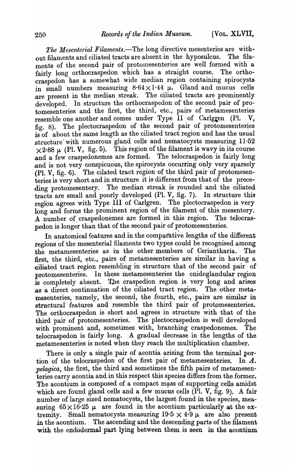*The Mesenterial Filaments.-The* long directive mesenteries are without filaments and ciliated tracts are absent in the hyposulcus. The filaments of the second pair of protomesenteries are well formed with a fairly long orthocraspedon which has a straight course. The orthocraspedon has a somewhat wide median region containing spirocysts in small numbers measuring  $8.64 \times 1.44$   $\mu$ . Gland and mucus cells are present in the median streak. The ciliated tracts are prominently developed. In structure the orthocraspedon of the second pair of protomesenteries and the first, the third, etc., pairs of metamesenteries resemble one another and comes under Type II of Carlgren (Pl. V, fig. 8). The plectocraspedon of the second pair of protomesenteries is of about the same length as the ciliated tract region and has the usual structure with numerous gland cells and nematocysts measuring 11.52  $\times$  2.88  $\mu$  (Pl. V, fig. 5). This region of the filament is wavy in its course .and a few craspedonemes are formed. The telocraspedon is fairly long and is not very conspicuous, the spirocysts occurring only very sparsely (PI. V, fig. 6). The cilated tract region of the third pair of protomesenteries is very short and in structure it is different from that of the prece-. ding protomesentery. The median streak is rounded and the ciliated tracts are small and poorly developed (PI. V, fig. 7). In structure this region agrees with Type III of Carlgren. The plectocraspedon is very long and forms the prominent region of the filament of this mesentery. A number of craspedonemes are formed in this region. The telocraspedon is longer than that of the second pair of protomesenteries.

In anatomical features and in the comparative lengths of the different regions of the mesenterial filaments two types could be recognised among the metamesenteries as in the other members of Ceriantharia. The first, the third, etc., pairs of metamesenteries are similar in having a -ciliated tract region resembling in structure that of the second pair of protomesenteries. In these metamesenteries the cnidoglandular region is completely absent. The craspedion region is very long and arises .as a direct continuation of the ciliated tract region. The other metamesenteries, namely, the second, the fourth, etc., pairs are similar in .structural features and resemble the third pair of protpmesenteries. The orthocraspedon is short and agrees in structure with that of the third pair of protomesenteries. The plectocraspedon is well developed with prominent and, sometimes with, branching craspedonemes. The telocraspedon is fairly long. A gradual decrease in the lengths of the metamesenteries is noted when they reach the multiplication chamber.

There is only a single pair of acontia arising from the terminal portion of the telocraspedon of the first pair of metamesenteries. In A. *pelagica,* the first, the third and sometimes the fifth pairs of metamesenteries carry acontia and in this respect this species differs from the former. The acontium is composed of a compact mass of supporting cells amidst which are found gland cells and a few mucus cells (Pl. V, fig. 9). A fair number of large sized nematocysts, the largest found in the species, measuring  $65 \times 16.25 \mu$  are found in the acontium particularly at the extremity. Small nematocysts measuring  $19.5 \times 4.9 \mu$  are also present in the acontium. The ascending and the descending parts of the filament with the endodermal part lying between them is seen in the acontium